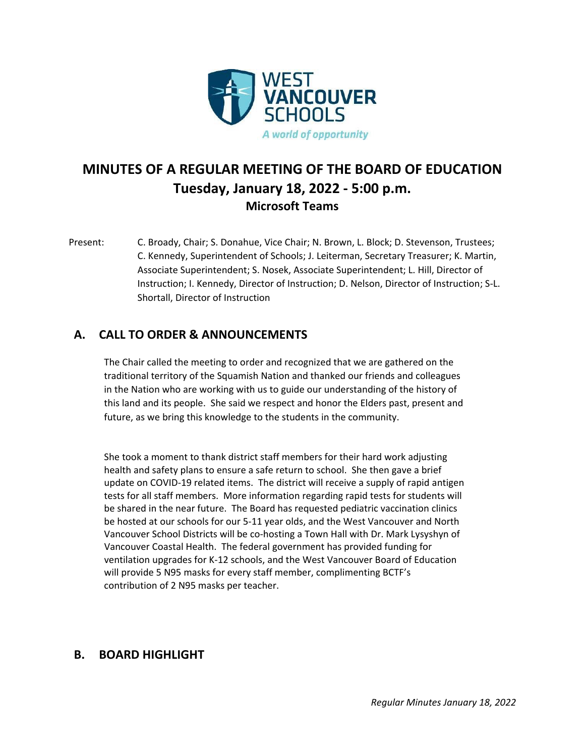

# **MINUTES OF A REGULAR MEETING OF THE BOARD OF EDUCATION Tuesday, January 18, 2022 - 5:00 p.m. Microsoft Teams**

Present: C. Broady, Chair; S. Donahue, Vice Chair; N. Brown, L. Block; D. Stevenson, Trustees; C. Kennedy, Superintendent of Schools; J. Leiterman, Secretary Treasurer; K. Martin, Associate Superintendent; S. Nosek, Associate Superintendent; L. Hill, Director of Instruction; I. Kennedy, Director of Instruction; D. Nelson, Director of Instruction; S-L. Shortall, Director of Instruction

# **A. CALL TO ORDER & ANNOUNCEMENTS**

The Chair called the meeting to order and recognized that we are gathered on the traditional territory of the Squamish Nation and thanked our friends and colleagues in the Nation who are working with us to guide our understanding of the history of this land and its people. She said we respect and honor the Elders past, present and future, as we bring this knowledge to the students in the community.

She took a moment to thank district staff members for their hard work adjusting health and safety plans to ensure a safe return to school. She then gave a brief update on COVID-19 related items. The district will receive a supply of rapid antigen tests for all staff members. More information regarding rapid tests for students will be shared in the near future. The Board has requested pediatric vaccination clinics be hosted at our schools for our 5-11 year olds, and the West Vancouver and North Vancouver School Districts will be co-hosting a Town Hall with Dr. Mark Lysyshyn of Vancouver Coastal Health. The federal government has provided funding for ventilation upgrades for K-12 schools, and the West Vancouver Board of Education will provide 5 N95 masks for every staff member, complimenting BCTF's contribution of 2 N95 masks per teacher.

# **B. BOARD HIGHLIGHT**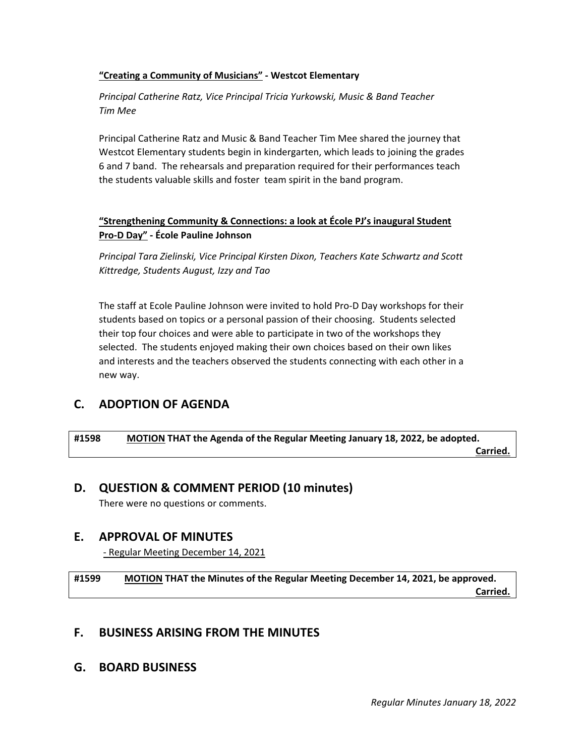#### **"Creating a Community of Musicians" - Westcot Elementary**

*Principal Catherine Ratz, Vice Principal Tricia Yurkowski, Music & Band Teacher Tim Mee*

Principal Catherine Ratz and Music & Band Teacher Tim Mee shared the journey that Westcot Elementary students begin in kindergarten, which leads to joining the grades 6 and 7 band. The rehearsals and preparation required for their performances teach the students valuable skills and foster team spirit in the band program.

#### **"Strengthening Community & Connections: a look at École PJ's inaugural Student Pro-D Day" - École Pauline Johnson**

*Principal Tara Zielinski, Vice Principal Kirsten Dixon, Teachers Kate Schwartz and Scott Kittredge, Students August, Izzy and Tao* 

The staff at Ecole Pauline Johnson were invited to hold Pro-D Day workshops for their students based on topics or a personal passion of their choosing. Students selected their top four choices and were able to participate in two of the workshops they selected. The students enjoyed making their own choices based on their own likes and interests and the teachers observed the students connecting with each other in a new way.

# **C. ADOPTION OF AGENDA**

**#1598 MOTION THAT the Agenda of the Regular Meeting January 18, 2022, be adopted. Carried.** The contract of the contract of the contract of the contract of the contract of the contract of the contract of the contract of the contract of the contract of the contract of the contract of the contract of the

## **D. QUESTION & COMMENT PERIOD (10 minutes)**

There were no questions or comments.

## **E. APPROVAL OF MINUTES**

- Regular Meeting December 14, 2021

**#1599 MOTION THAT the Minutes of the Regular Meeting December 14, 2021, be approved. Carried.** The contract of the contract of the contract of the contract of the contract of the contract of the contract of the contract of the contract of the contract of the contract of the contract of the contract of the

## **F. BUSINESS ARISING FROM THE MINUTES**

**G. BOARD BUSINESS**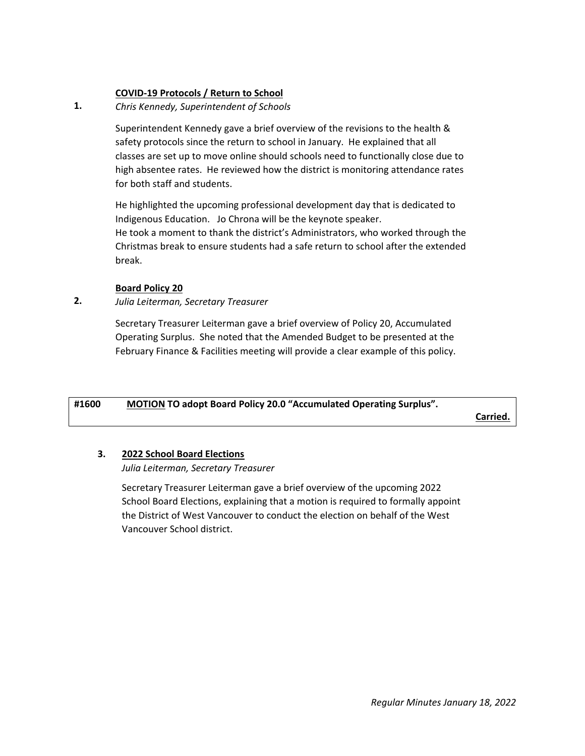#### **COVID-19 Protocols / Return to School**

**1.** *Chris Kennedy, Superintendent of Schools*

> Superintendent Kennedy gave a brief overview of the revisions to the health & safety protocols since the return to school in January. He explained that all classes are set up to move online should schools need to functionally close due to high absentee rates. He reviewed how the district is monitoring attendance rates for both staff and students.

> He highlighted the upcoming professional development day that is dedicated to Indigenous Education. Jo Chrona will be the keynote speaker. He took a moment to thank the district's Administrators, who worked through the

> Christmas break to ensure students had a safe return to school after the extended break.

#### **Board Policy 20**

**2.** *Julia Leiterman, Secretary Treasurer* 

> Secretary Treasurer Leiterman gave a brief overview of Policy 20, Accumulated Operating Surplus. She noted that the Amended Budget to be presented at the February Finance & Facilities meeting will provide a clear example of this policy.

| #1600 | <b>MOTION TO adopt Board Policy 20.0 "Accumulated Operating Surplus".</b> |          |
|-------|---------------------------------------------------------------------------|----------|
|       |                                                                           | Carried. |

#### **3. 2022 School Board Elections**

*Julia Leiterman, Secretary Treasurer*

Secretary Treasurer Leiterman gave a brief overview of the upcoming 2022 School Board Elections, explaining that a motion is required to formally appoint the District of West Vancouver to conduct the election on behalf of the West Vancouver School district.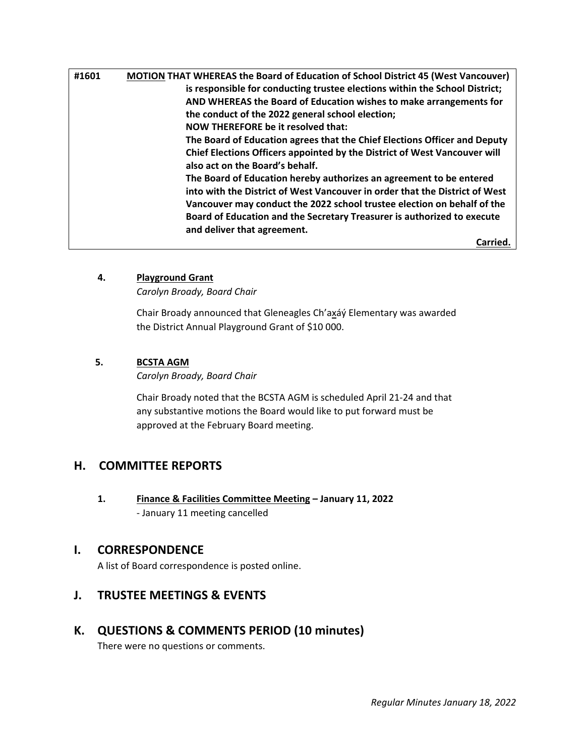| #1601 | <b>MOTION THAT WHEREAS the Board of Education of School District 45 (West Vancouver)</b> |
|-------|------------------------------------------------------------------------------------------|
|       | is responsible for conducting trustee elections within the School District;              |
|       | AND WHEREAS the Board of Education wishes to make arrangements for                       |
|       | the conduct of the 2022 general school election;                                         |
|       | NOW THEREFORE be it resolved that:                                                       |
|       | The Board of Education agrees that the Chief Elections Officer and Deputy                |
|       | <b>Chief Elections Officers appointed by the District of West Vancouver will</b>         |
|       | also act on the Board's behalf.                                                          |
|       | The Board of Education hereby authorizes an agreement to be entered                      |
|       | into with the District of West Vancouver in order that the District of West              |
|       | Vancouver may conduct the 2022 school trustee election on behalf of the                  |
|       | Board of Education and the Secretary Treasurer is authorized to execute                  |
|       | and deliver that agreement.                                                              |
|       | Carried.                                                                                 |

### **4. Playground Grant**

*Carolyn Broady, Board Chair* 

Chair Broady announced that Gleneagles Ch'axáý Elementary was awarded the District Annual Playground Grant of \$10 000.

#### **5. BCSTA AGM**

*Carolyn Broady, Board Chair*

Chair Broady noted that the BCSTA AGM is scheduled April 21-24 and that any substantive motions the Board would like to put forward must be approved at the February Board meeting.

# **H. COMMITTEE REPORTS**

 **1. Finance & Facilities Committee Meeting – January 11, 2022** - January 11 meeting cancelled

#### **I. CORRESPONDENCE**

A list of Board correspondence is posted online.

# **J. TRUSTEE MEETINGS & EVENTS**

## **K. QUESTIONS & COMMENTS PERIOD (10 minutes)**

There were no questions or comments.